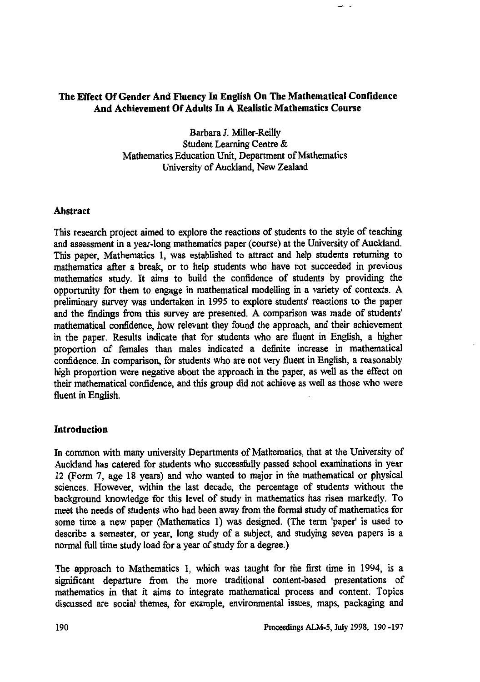# **The Effect Of Gender And Fluency In English On The Mathematical Confidence And Achievement Of Adults In A Realistic Mathematics Course**

**Barbara I. Miller-Reilly Student Learning Centre & Mathematics Education Unit, Department of Mathematics University of Auckland, New Zealand**

#### **Abstract**

**This research project aimed to explore the reactions of students to the style of teaching and assessment in a year-long mathematics paper (course) at the University of Auckland. This paper, Mathematics 1, was established to attract and help students returning to mathematics after a break, or to help students who have not succeeded in previous mathematics study. It aims to build the confidence of students by providing the opportunity for them to engage in mathematical modelling in a variety of contexts. A preliminary survey was undertaken in 1995 to explore students' reactions to the paper and the findings from this survey are presented. A comparison was made of students' mathematical confidence, how relevant they found the approach, and their achievement in the paper. Results indicate that for students who are fluent in English, a higher proportion of females than males indicated a definite increase in mathematical confidence. In comparison, for students who are not very fluent in English, a reasonably high proportion were negative about the approach in the paper, as well as the effect on their mathematical confidence, and this group did not achieve as well as those who were fluent in English.**

# **Introduction**

**In common with many university Departments of Mathematics, that at the University of Auckland has catered for students who successfully passed school examinations in year 12 (Form 7, age 18 years) and who wanted to major in the mathematical or physical sciences. However, within the last decade, the percentage of students without the background knowledge for this level of study in mathematics has** *risen* **markedly. To meet the needs of students who had been away from the formal study of mathematics for some time a new paper Mathematics 1) was designed. (The term 'paper' is used to describe a semester, or year, long study of a subject, and studying seven papers is a normal full time study load for a year of study for a degree.)**

**The approach to Mathematics 1, which was taught for the first time in 1994, is a significant departure from the more traditional content-based presentations of mathematics in that it aims to integrate mathematical process and content. Topics discussed are social themes, for example, environmental issues, maps, packaging and**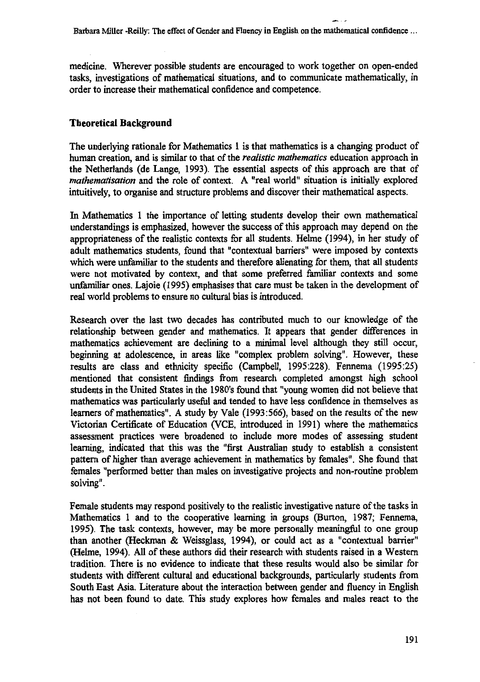**medicine. Wherever possible students are encouraged to work together on open-ended tasks, investigations of mathematical situations, and to communicate mathematically, in order to increase their mathematical confidence and competence.**

### **Theoretical Background**

**The underlying rationale for Mathematics 1 is that mathematics is a changing product of human creation, and is similar to that of the** *realistic mathematics* **education approach in the Netherlands (de Lange, 1993). The essential aspects of this approach are that of** *mathematisation* **and the role of context. A "real world" situation is initially explored intuitively, to organise and structure problems and discover their mathematical aspects.**

**In Mathematics 1 the importance of letting students develop their own mathematical understandings is emphasized, however the success of this approach may depend on the appropriateness of the realistic contexts for all students. Helme (1994), in her study of adult mathematics students, found that "contextual barriers" were imposed by contexts which were unfamiliar to the students and therefore alienating for them, that all students were not motivated by context, and that some preferred familiar contexts and some unfamiliar ones. Lajoie (1995) emphasises that care must be taken in the development of real world problems to ensure no cultural bias is introduced.**

**Research over the last two decades has contributed much to our knowledge of the relationship between gender and mathematics. It appears that gender differences in mathematics achievement are declining to a minimal level although they still occur, beginning at adolescence, in areas like "complex problem solving". However, these results are class and ethnicity specific (Campbell, 1995:228). Fennema (1995:25) mentioned that consistent findings from research completed amongst high school students in the United States in the 1980's found that "young women did not believe that mathematics was particularly useful and tended to have less confidence in themselves as learners of mathematics". A study by Vale (1993:566), based on the results of the new Victorian Certificate of Education (VCE, introduced in 1991) where the mathematics assessment practices were broadened to include more modes of assessing student learning, indicated that this was the "first Australian study to establish a consistent pattern of higher than average achievement in mathematics by females". She found that females "performed better than males on investigative projects and non-routine problem solving".**

**Female students may respond positively to the realistic investigative nature of the tasks in Mathematics 1 and to the cooperative learning in groups (Burton, 1987; Fennema, 1995). The task contexts, however, may be more personally meaningful to one group than another (Heckman & Weissglass, 1994), or could act as a "contextual barrier" (Helme, 1994). All of these authors did their research with students raised in a Western tradition. There is no evidence to indicate that these results would also be similar for students with different cultural and educational backgrounds, particularly students from South East Asia. Literature about the interaction between gender and fluency in English has not been found to date. This study explores how females and males react to the**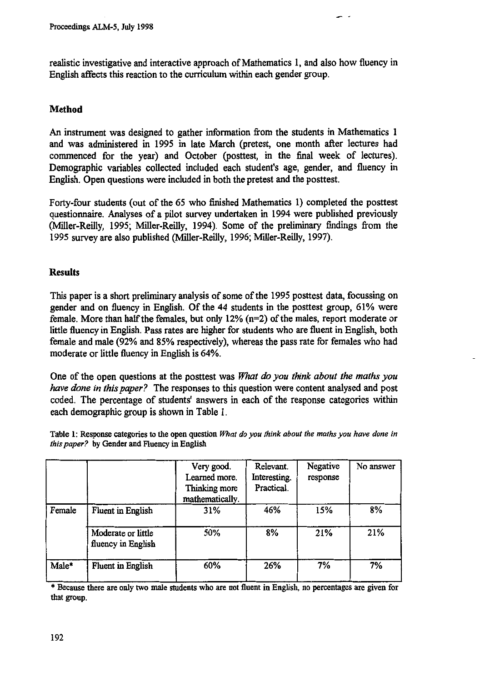**realistic investigative and interactive approach of Mathematics 1, and also how fluency in English affects this reaction to the curriculum within each gender group.**

### **Method**

**An instrument was designed to gather information from the students in Mathematics 1 and was administered in 1995 in late March (pretest, one month after lectures had commenced for the year) and October (posttest, in the final week of lectures). Demographic variables collected included each student's age, gender, and fluency in English. Open questions were included in both the pretest and the posttest.**

**Forty-four students (out of the 65 who finished Mathematics 1) completed the posttest questionnaire. Analyses of a pilot survey undertaken in 1994 were published previously (Miller-Reilly, 1995; Miller-Reilly, 1994). Some of the preliminary findings from the 1995 survey are also published (Miller-Reilly, 1996; Miller-Reilly, 1997).**

#### **Results**

**This paper is a short preliminary analysis of some of the 1995 posttest data, focussing on gender and on fluency in English. Of the 44 students in the posttest group, 61% were female. More than half the females, but only 12% (n=2) of the males, report moderate or little fluency in English. Pass rates are higher for students who are fluent in English, both female and male (92% and 85% respectively), whereas the pass rate for females who had** moderate or little fluency in English is 64%.

**One of the open questions at the posttest was** What do you think about the maths you have done in this *paper?* **The responses to this question were content analysed and post coded. The percentage of students' answers in each of the response categories within each demographic group is shown in Table 1.**

**Table 1: Response categories to the open question** *What do you think about the maths you have done in this paper?* **by Gender and Fluency in English**

|        |                                          | Very good.<br>Learned more.<br>Thinking more<br>mathematically. | Relevant.<br>Interesting.<br>Practical. | Negative<br>response | No answer |
|--------|------------------------------------------|-----------------------------------------------------------------|-----------------------------------------|----------------------|-----------|
| Female | <b>Fluent</b> in English                 | 31%                                                             | 46%                                     | 15%                  | 8%        |
|        | Moderate or little<br>fluency in English | 50%                                                             | 8%                                      | 21%                  | 21%       |
| Male*  | Fluent in English                        | 60%                                                             | 26%                                     | 7%                   | 7%        |

**\* Because there are only two male students who are not fluent in English, no percentages are given for that group.**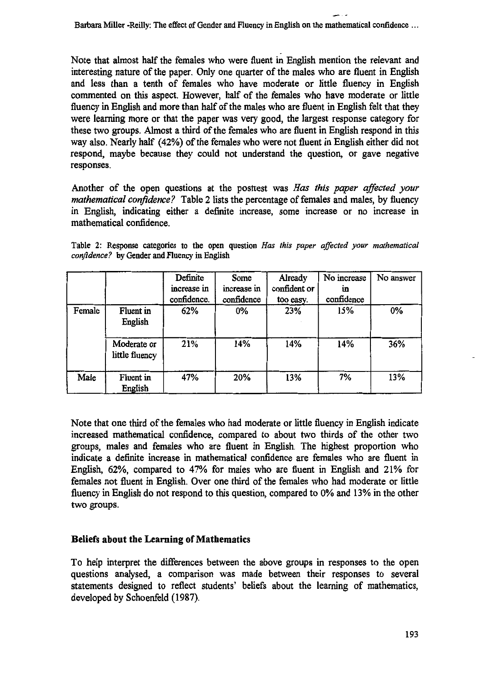**Note that almost half the females who were fluent in English mention the relevant and interesting nature of the paper. Only one quarter of the males who are fluent in English and less than a tenth of females who have moderate or little fluency in English commented on this aspect. However, half of the females who have moderate or little fluency in English and more than half of the males who are fluent in English felt that they were learning more or that the paper was very good, the largest response category for these two groups. Almost a third of the females who are fluent in English respond in this way also. Nearly half (42%) of the females who were not fluent in English either did not respond, maybe because they could not understand the question, or gave negative responses.**

**Another of the open questions at the posttest was** *Has this paper affected your mathematical confidence?* **Table 2 lists the percentage of females and males, by fluency in English, indicating either a definite increase, some increase or no increase in mathematical confidence.**

**Table 2: Response categories to the open question** *Has this paper affected your mathematical confidence?* **by Gender and Fluency in English**

|        |                               | Definite<br>increase in<br>confidence. | Some<br>increase in<br>confidence | Already<br>confident or<br>too easy. | No increase<br>1n<br>confidence | No answer |
|--------|-------------------------------|----------------------------------------|-----------------------------------|--------------------------------------|---------------------------------|-----------|
| Female | Fluent in<br>English          | 62%                                    | $0\%$                             | 23%                                  | 15%                             | 0%        |
|        | Moderate or<br>little fluency | 21%                                    | 14%                               | 14%                                  | 14%                             | 36%       |
| Male   | Fluent in<br>English          | 47%                                    | 20%                               | 13%                                  | 7%                              | 13%       |

**Note that one third of the females who had moderate or little fluency in English indicate increased mathematical confidence, compared to about two thirds of the other two groups, males and females who are fluent in English. The highest proportion who indicate a definite increase in mathematical confidence are females who are fluent in English, 62%, compared to 47% for males who are fluent in English and 21% for females not fluent in English. Over one third of the females who had moderate or little fluency in English do not respond to this question, compared to 0% and 13% in the other two groups.**

# **Beliefs about the Learning of Mathematics**

**To help interpret the differences between the above groups in responses to the open questions analysed, a comparison was made between their responses to several statements designed to reflect students' beliefs about the learning of mathematics, developed by Schoenfeld (1987).**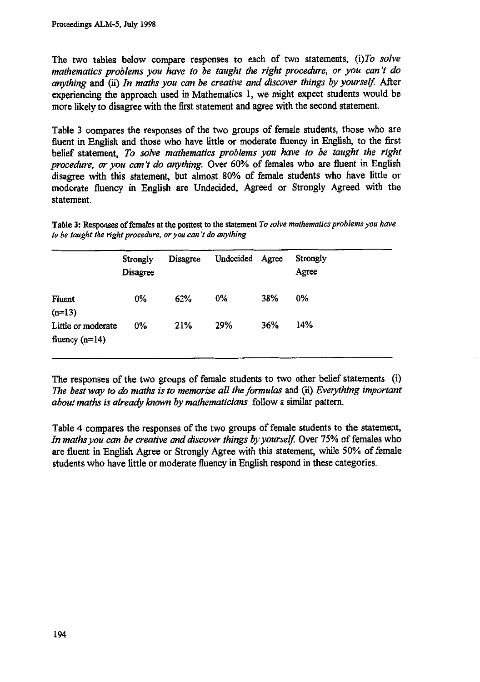**The two tables below compare responses to each of two statements,** *(i)To solve mathematics problems you have to be taught the right procedure, or you can't do anything* **and (ii)** *In maths you can be creative and discover things by yourself.* **After experiencing the approach used in Mathematics 1, we might expect students would be more likely to disagree with the first statement and agree with the second statement.**

**Table 3 compares the responses of the two groups of female students, those who are fluent in English and those who have little or moderate fluency in English, to the first belief statement,** *To solve mathematics problems you have to be taught the right procedure, or you can't do anything.* **Over 60% of females who are fluent in English disagree with this statement, but almost 80% of female students who have little or moderate fluency in English are Undecided, Agreed or Strongly Agreed with the statement.**

**Table 3: Responses of females at the posttest to the statement** *To solve mathematics problems you have to be taught the right procedure, or you can't do anything*

|                                        | Strongly<br><b>Disagree</b> | <b>Disagree</b> | Undecided Agree |     | <b>Strongly</b><br>Agree |
|----------------------------------------|-----------------------------|-----------------|-----------------|-----|--------------------------|
| Fluent<br>$(n=13)$                     | $0\%$                       | 62%             | $0\%$           | 38% | $0\%$                    |
| Little or moderate<br>fluency $(n=14)$ | $0\%$                       | 21%             | 29%             | 36% | 14%                      |

**The responses of the two groups of female students to two other belief statements (i)** *The best way to do maths is to memorise all the formulas* **and (ii)** *Everything important about maths is already known by mathematicians* **follow a similar pattern.**

**Table 4 compares the responses of the two groups of female students to the statement,** In maths you can be creative and discover things by yourself. Over 75% of females who **are fluent in English Agree or Strongly Agree with this statement, while 50% of female students who have little or moderate fluency in English respond in these categories.**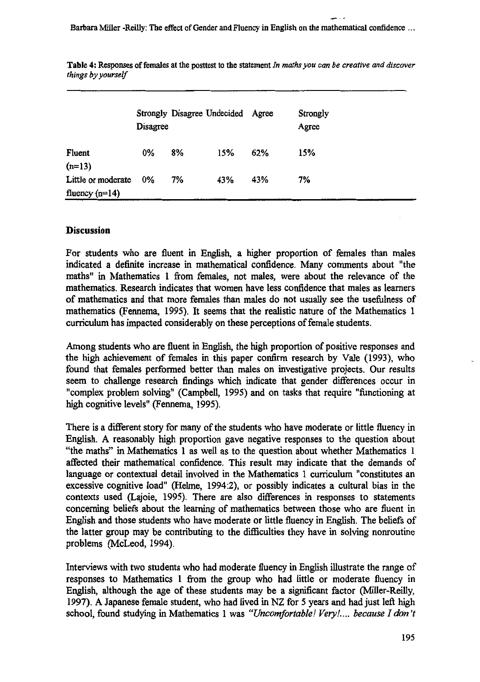**Barbara Miller -Reilly: The effect of Gender and Fluency in English on the mathematical confidence ...**

|                                        | Disagree |    | Strongly Disagree Undecided Agree |     | Strongly<br>Agree |
|----------------------------------------|----------|----|-----------------------------------|-----|-------------------|
| Fluent<br>$(n=13)$                     | $0\%$    | 8% | 15%                               | 62% | 15%               |
| Little or moderate<br>fluency $(n=14)$ | $0\%$    | 7% | 43%                               | 43% | 7%                |

**Table 4: Responses of females at the posttest to the statement** *In maths you can be creative and discover things by yourself*

#### **Discussion**

**For students who are fluent in English, a higher proportion of females than males indicated a definite increase in mathematical confidence. Many comments about "the maths" in Mathematics 1 from females, not males, were about the relevance of the mathematics. Research indicates that women have less confidence that males as learners of mathematics and that more females than males do not usually see the usefulness of mathematics (Fennema, 1995). It seems that the realistic nature of the Mathematics 1 curriculum has impacted considerably on these perceptions of female students.**

**Among students who are fluent in English, the high proportion of positive responses and the high achievement of females hi this paper corifirm resea-rch by 'Vale (1993), who found that females performed better than males on investigative projects. Our results seem to challenge research findings which indicate that gender differences occur in "complex problem solving" (Campbell, 1995) and on tasks that require "functioning at high cognitive levels" (Fennema, 1995).**

**There is a different story for many of the students who have moderate or little fluency in English. A reasonably high proportion gave negative responses to the question about "the maths" in Mathematics 1 as well as to the question about whether Mathematics 1 affected their mathematical confidence. This result may indicate that the demands of language or contextual detail involved in the Mathematics 1 curriculum "constitutes an excessive cognitive load" (Helme, 1994:2), or possibly indicates a cultural bias in the contexts used (Lajoie, 1995). There are also differences in responses to statements concerning beliefs about the learning of mathematics between those who are fluent in English and those students who have moderate or little fluency in English. The beliefs of the latter group may be contributing to the difficulties they have in solving nonroutine problems (McLeod, 1994).**

**Interviews with two students who had moderate fluency in English illustrate the range of responses to Mathematics 1 from the group who had little or moderate fluency in English, although the age of these students may be a significant factor (Miller-Reilly, 1997). A Japanese female student, who had lived in NZ for 5 years and had just left high** school, found studying in Mathematics 1 was "Uncomfortable! Very!.... because I don't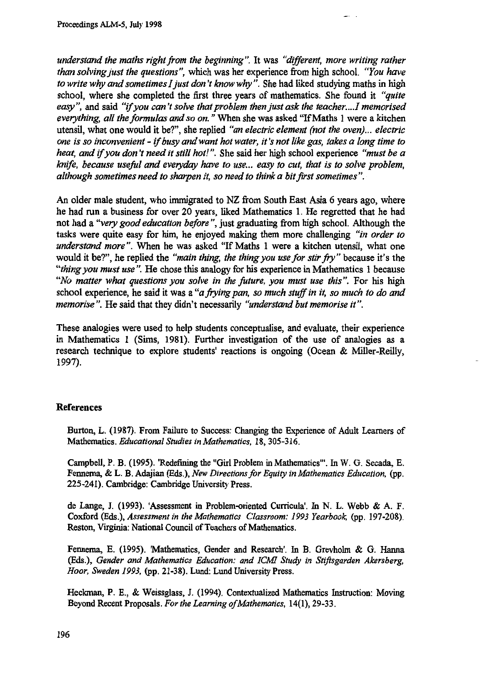*understand the maths right from the beginning".* **It was** *"different, more writing rather than solving just the questions",* **which was her experience from high school.** *"You have to write why and sometimes I just don't know why".* **She had liked studying maths in high school, where she completed the first three years of mathematics. She found it** *"quite easy",* **and said** *"if you can't solve that problem then just ask the teacher....I memorised everything, all the formulas and so on."* **When she was asked "If Maths 1 were a kitchen utensil, what one would it be?", she replied** *"an electric element (not the oven)... electric one is so inconvenient - if busy and want hot water, it's not like gas, takes a long time to heat, and if you don't need it still hot! ".* **She said her high school experience** *"must be a knife, because useful and everyday have to use... easy to cut, that is to solve problem, although sometimes need to sharpen it, so need to think a bit first sometimes".*

**An older male student, who immigrated to NZ from South East Asia 6 years ago, where he had run a business for over 20 years, liked Mathematics 1. He regretted that he had not had a** *"very good education before",* **just graduating from high school. Although the tasks were quite easy for him, he enjoyed making them more challenging** *"in order to understand more".* **When he was asked "If Maths 1 were a kitchen utensil, what one would it be?", he replied the** *"main thing, the thing you use for stir fry"* **because it's the** *"thing you must use".* **He chose this analogy for his experience in Mathematics 1 because** *"No matter what questions you solve in the future, you must use this".* **For his high school experience, he said it was a** *"a frying pan, so much stuff in it, so much to do and memorise".* **He said that they didn't necessarily** *"understand but memorise it".*

**These analogies were used to help students conceptualise, and evaluate, their experience in Mathematics 1 (Sims, 1981). Further investigation of the use of analogies as a research technique to explore students' reactions is oneoine (Ocean & Miller-Reilly, 1997).**

#### **References**

**Burton, L. (1987). From Failure to Success: Changing the Experience of Adult Learners of Mathematics.** *Educational Studies in Mathematics,* **18, 305-316.**

**Campbell, P. B. (1995). 'Redefining the "Girl Problem in Mathematics'. In W. G. Secada, E. Fennema, & L. B. Adajian** *(Eds.), New Directions for Equity in Mathematics Education,* **(pp. 225-241). Cambridge: Cambridge University Press.**

**de Lange, J. (1993). 'Assessment in Problem-oriented Curricula'. In N. L. Webb & A. F. Coxford (Eds.),** *Assessment in the Mathematics Classroom: 1993 Yearbook,* **(pp. 197-208). Reston, Virginia: National Council of Teachers of Mathematics.**

**Fennema, E. (1995). 'Mathematics, Gender and Research'. In B. Grevholm & G. Hanna** *(Eds.), Gender and Mathematics Education: and ICMI Study in Stifisgarden Akersberg, Hoor, Sweden 1993,* **(pp. 21-38). Lund: Lund University Press.**

Heckman, P. E., & Weissglass, J. (1994). Contextualized Mathematics Instruction: Moving **Beyond Recent Proposals.** *For the Learning ofMathematics,* **14(1), 29-33.**